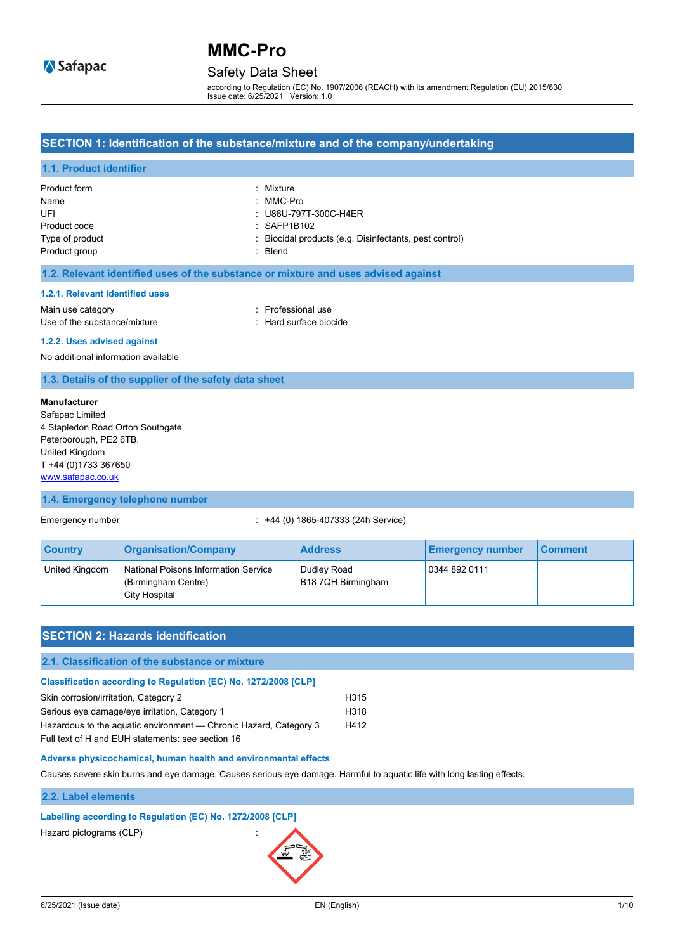### Safety Data Sheet

according to Regulation (EC) No. 1907/2006 (REACH) with its amendment Regulation (EU) 2015/830 Issue date: 6/25/2021 Version: 1.0

#### **SECTION 1: Identification of the substance/mixture and of the company/undertaking**

#### **1.1. Product identifier**

#### **1.2. Relevant identified uses of the substance or mixture and uses advised against**

#### **1.2.1. Relevant identified uses**

Main use category **interest and the COV** method of the Professional use Use of the substance/mixture in the substance in the set of the substance/mixture in the set of the substance

#### **1.2.2. Uses advised against**

No additional information available

#### **1.3. Details of the supplier of the safety data sheet**

#### **Manufacturer**

Safapac Limited 4 Stapledon Road Orton Southgate Peterborough, PE2 6TB. United Kingdom T +44 (0)1733 367650 [www.safapac.co.uk](http://www.safapac.co.uk/)

#### **1.4. Emergency telephone number**

#### Emergency number : +44 (0) 1865-407333 (24h Service)

| <b>Country</b> | <b>Organisation/Company</b>                                                  | <b>Address</b>                    | <b>Emergency number</b> | <b>Comment</b> |
|----------------|------------------------------------------------------------------------------|-----------------------------------|-------------------------|----------------|
| United Kingdom | National Poisons Information Service<br>(Birmingham Centre)<br>City Hospital | Dudley Road<br>B18 7QH Birmingham | 0344 892 0111           |                |

### **SECTION 2: Hazards identification**

#### **2.1. Classification of the substance or mixture**

#### **Classification according to Regulation (EC) No. 1272/2008 [CLP]**

| Skin corrosion/irritation, Category 2                             | H315 |
|-------------------------------------------------------------------|------|
| Serious eye damage/eye irritation, Category 1                     | H318 |
| Hazardous to the aquatic environment — Chronic Hazard, Category 3 | H412 |
| Full text of H and EUH statements: see section 16                 |      |

#### **Adverse physicochemical, human health and environmental effects**

Causes severe skin burns and eye damage. Causes serious eye damage. Harmful to aquatic life with long lasting effects.

#### **2.2. Label elements**

#### **Labelling according to Regulation (EC) No. 1272/2008 [CLP]**

Hazard pictograms (CLP) :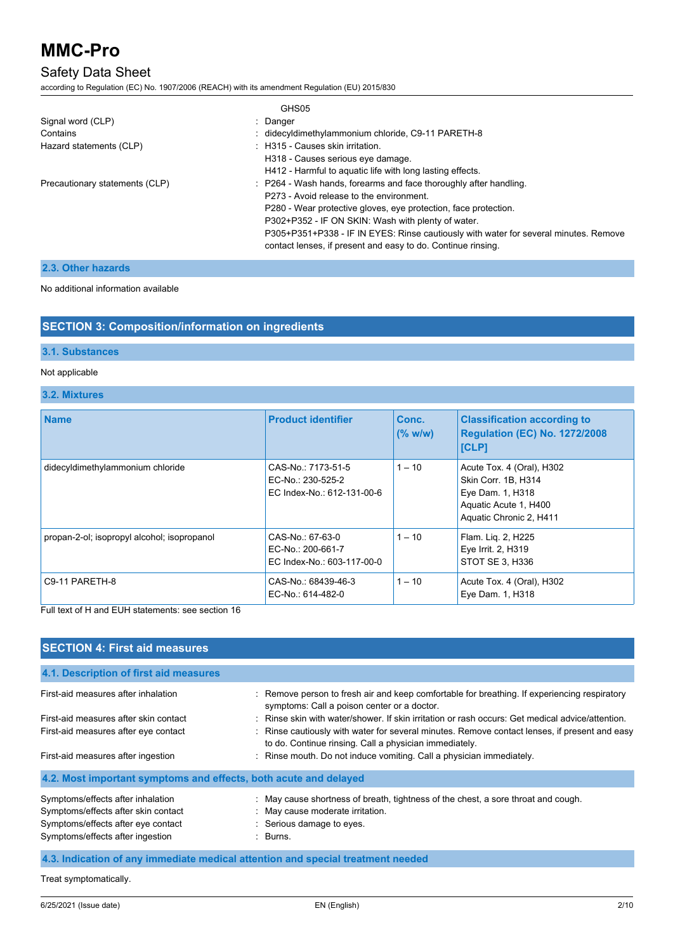## Safety Data Sheet

according to Regulation (EC) No. 1907/2006 (REACH) with its amendment Regulation (EU) 2015/830

|                                | GHS05                                                                                                                                                |
|--------------------------------|------------------------------------------------------------------------------------------------------------------------------------------------------|
| Signal word (CLP)              | : Danger                                                                                                                                             |
| Contains                       | : didecyldimethylammonium chloride, C9-11 PARETH-8                                                                                                   |
| Hazard statements (CLP)        | : H315 - Causes skin irritation.                                                                                                                     |
|                                | H318 - Causes serious eye damage.                                                                                                                    |
|                                | H412 - Harmful to aquatic life with long lasting effects.                                                                                            |
| Precautionary statements (CLP) | : P264 - Wash hands, forearms and face thoroughly after handling.                                                                                    |
|                                | P273 - Avoid release to the environment.                                                                                                             |
|                                | P280 - Wear protective gloves, eye protection, face protection.                                                                                      |
|                                | P302+P352 - IF ON SKIN: Wash with plenty of water.                                                                                                   |
|                                | P305+P351+P338 - IF IN EYES: Rinse cautiously with water for several minutes. Remove<br>contact lenses, if present and easy to do. Continue rinsing. |

### **2.3. Other hazards**

#### No additional information available

### **SECTION 3: Composition/information on ingredients**

## **3.1. Substances**

### Not applicable

### **3.2. Mixtures**

| <b>Name</b>                                 | <b>Product identifier</b>                                             | Conc.<br>(% w/w) | <b>Classification according to</b><br><b>Regulation (EC) No. 1272/2008</b><br><b>[CLP]</b>                               |
|---------------------------------------------|-----------------------------------------------------------------------|------------------|--------------------------------------------------------------------------------------------------------------------------|
| didecyldimethylammonium chloride            | CAS-No.: 7173-51-5<br>EC-No.: 230-525-2<br>EC Index-No.: 612-131-00-6 | $1 - 10$         | Acute Tox. 4 (Oral), H302<br>Skin Corr. 1B, H314<br>Eye Dam. 1, H318<br>Aquatic Acute 1, H400<br>Aquatic Chronic 2, H411 |
| propan-2-ol; isopropyl alcohol; isopropanol | CAS-No.: 67-63-0<br>EC-No.: 200-661-7<br>EC Index-No.: 603-117-00-0   | $1 - 10$         | Flam. Liq. 2, H225<br>Eye Irrit. 2, H319<br>STOT SE 3. H336                                                              |
| C9-11 PARETH-8                              | CAS-No.: 68439-46-3<br>EC-No.: 614-482-0                              | $1 - 10$         | Acute Tox. 4 (Oral), H302<br>Eye Dam. 1, H318                                                                            |

Full text of H and EUH statements: see section 16

| <b>SECTION 4: First aid measures</b>                             |                                                                                                                                                         |
|------------------------------------------------------------------|---------------------------------------------------------------------------------------------------------------------------------------------------------|
| 4.1. Description of first aid measures                           |                                                                                                                                                         |
| First-aid measures after inhalation                              | : Remove person to fresh air and keep comfortable for breathing. If experiencing respiratory<br>symptoms: Call a poison center or a doctor.             |
| First-aid measures after skin contact                            | : Rinse skin with water/shower. If skin irritation or rash occurs: Get medical advice/attention.                                                        |
| First-aid measures after eye contact                             | : Rinse cautiously with water for several minutes. Remove contact lenses, if present and easy<br>to do. Continue rinsing. Call a physician immediately. |
| First-aid measures after ingestion                               | : Rinse mouth. Do not induce vomiting. Call a physician immediately.                                                                                    |
| 4.2. Most important symptoms and effects, both acute and delayed |                                                                                                                                                         |
| Symptoms/effects after inhalation                                | : May cause shortness of breath, tightness of the chest, a sore throat and cough.                                                                       |
| Symptoms/effects after skin contact                              | : May cause moderate irritation.                                                                                                                        |
| Symptoms/effects after eye contact                               | : Serious damage to eyes.                                                                                                                               |
| Symptoms/effects after ingestion                                 | $\therefore$ Burns.                                                                                                                                     |
|                                                                  | A lagication of any immodiate medical attention and enecial treatment people                                                                            |

### **4.3. Indication of any immediate medical attention and special treatment needed**

Treat symptomatically.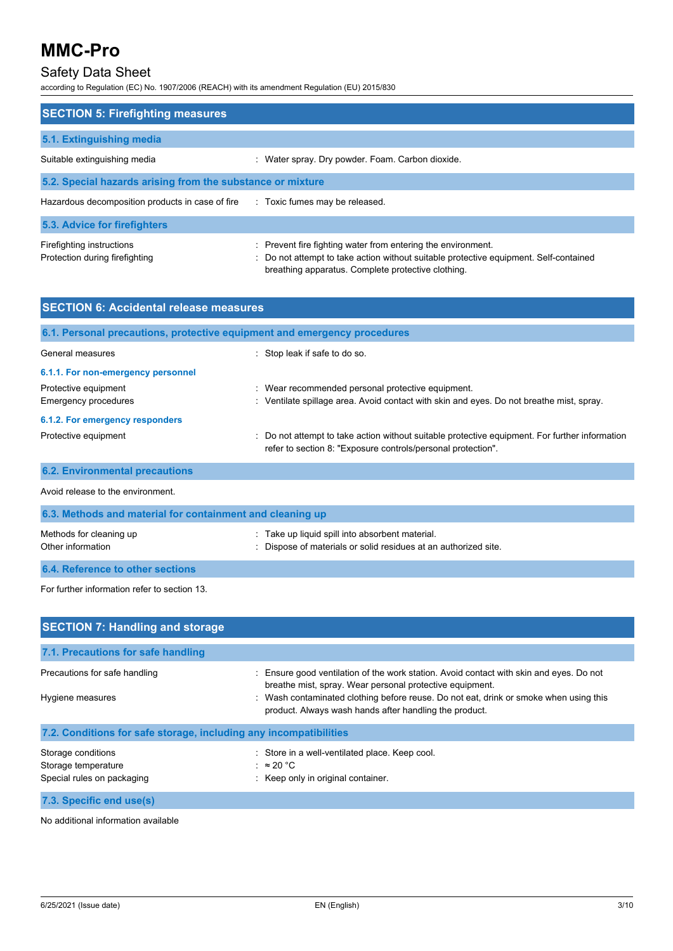## Safety Data Sheet

according to Regulation (EC) No. 1907/2006 (REACH) with its amendment Regulation (EU) 2015/830

| <b>SECTION 5: Firefighting measures</b>                     |                                                                                                                                                                                                             |  |  |
|-------------------------------------------------------------|-------------------------------------------------------------------------------------------------------------------------------------------------------------------------------------------------------------|--|--|
| 5.1. Extinguishing media                                    |                                                                                                                                                                                                             |  |  |
| Suitable extinguishing media                                | : Water spray. Dry powder. Foam. Carbon dioxide.                                                                                                                                                            |  |  |
| 5.2. Special hazards arising from the substance or mixture  |                                                                                                                                                                                                             |  |  |
| Hazardous decomposition products in case of fire            | : Toxic fumes may be released.                                                                                                                                                                              |  |  |
| 5.3. Advice for firefighters                                |                                                                                                                                                                                                             |  |  |
| Firefighting instructions<br>Protection during firefighting | : Prevent fire fighting water from entering the environment.<br>: Do not attempt to take action without suitable protective equipment. Self-contained<br>breathing apparatus. Complete protective clothing. |  |  |

| <b>SECTION 6: Accidental release measures</b>             |                                                                                                                                                              |  |  |
|-----------------------------------------------------------|--------------------------------------------------------------------------------------------------------------------------------------------------------------|--|--|
|                                                           | 6.1. Personal precautions, protective equipment and emergency procedures                                                                                     |  |  |
| General measures                                          | : Stop leak if safe to do so.                                                                                                                                |  |  |
| 6.1.1. For non-emergency personnel                        |                                                                                                                                                              |  |  |
| Protective equipment                                      | : Wear recommended personal protective equipment.                                                                                                            |  |  |
| <b>Emergency procedures</b>                               | : Ventilate spillage area. Avoid contact with skin and eyes. Do not breathe mist, spray.                                                                     |  |  |
| 6.1.2. For emergency responders                           |                                                                                                                                                              |  |  |
| Protective equipment                                      | Do not attempt to take action without suitable protective equipment. For further information<br>refer to section 8: "Exposure controls/personal protection". |  |  |
| <b>6.2. Environmental precautions</b>                     |                                                                                                                                                              |  |  |
| Avoid release to the environment.                         |                                                                                                                                                              |  |  |
| 6.3. Methods and material for containment and cleaning up |                                                                                                                                                              |  |  |
| Methods for cleaning up                                   | Take up liquid spill into absorbent material.                                                                                                                |  |  |
| Other information                                         | Dispose of materials or solid residues at an authorized site.                                                                                                |  |  |
| 6.4. Reference to other sections                          |                                                                                                                                                              |  |  |

For further information refer to section 13.

| <b>SECTION 7: Handling and storage</b>                                  |                                                                                                                                                                                                                                                                                                        |  |  |
|-------------------------------------------------------------------------|--------------------------------------------------------------------------------------------------------------------------------------------------------------------------------------------------------------------------------------------------------------------------------------------------------|--|--|
| 7.1. Precautions for safe handling                                      |                                                                                                                                                                                                                                                                                                        |  |  |
| Precautions for safe handling<br>Hygiene measures                       | : Ensure good ventilation of the work station. Avoid contact with skin and eyes. Do not<br>breathe mist, spray. Wear personal protective equipment.<br>: Wash contaminated clothing before reuse. Do not eat, drink or smoke when using this<br>product. Always wash hands after handling the product. |  |  |
| 7.2. Conditions for safe storage, including any incompatibilities       |                                                                                                                                                                                                                                                                                                        |  |  |
| Storage conditions<br>Storage temperature<br>Special rules on packaging | : Store in a well-ventilated place. Keep cool.<br>: $\approx 20 \degree C$<br>: Keep only in original container.                                                                                                                                                                                       |  |  |
| 7.3. Specific end use(s)                                                |                                                                                                                                                                                                                                                                                                        |  |  |

No additional information available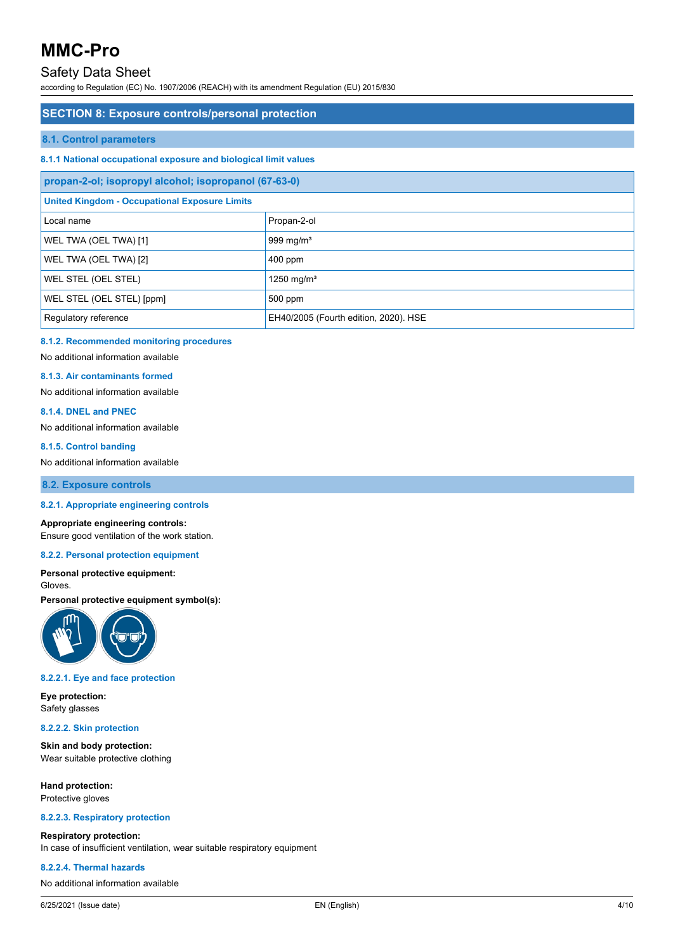## Safety Data Sheet

according to Regulation (EC) No. 1907/2006 (REACH) with its amendment Regulation (EU) 2015/830

### **SECTION 8: Exposure controls/personal protection**

#### **8.1. Control parameters**

#### **8.1.1 National occupational exposure and biological limit values**

| propan-2-ol; isopropyl alcohol; isopropanol (67-63-0)         |                        |  |
|---------------------------------------------------------------|------------------------|--|
| <b>United Kingdom - Occupational Exposure Limits</b>          |                        |  |
| Local name                                                    | Propan-2-ol            |  |
| WEL TWA (OEL TWA) [1]                                         | 999 mg/m <sup>3</sup>  |  |
| WEL TWA (OEL TWA) [2]                                         | $400$ ppm              |  |
| WEL STEL (OEL STEL)                                           | 1250 mg/m <sup>3</sup> |  |
| WEL STEL (OEL STEL) [ppm]                                     | 500 ppm                |  |
| EH40/2005 (Fourth edition, 2020). HSE<br>Regulatory reference |                        |  |

#### **8.1.2. Recommended monitoring procedures**

No additional information available

#### **8.1.3. Air contaminants formed**

No additional information available

#### **8.1.4. DNEL and PNEC**

No additional information available

#### **8.1.5. Control banding**

No additional information available

**8.2. Exposure controls**

#### **8.2.1. Appropriate engineering controls**

#### **Appropriate engineering controls:**

Ensure good ventilation of the work station.

#### **8.2.2. Personal protection equipment**

**Personal protective equipment:** Gloves.

#### **Personal protective equipment symbol(s):**



#### **8.2.2.1. Eye and face protection**

**Eye protection:** Safety glasses

#### **8.2.2.2. Skin protection**

**Skin and body protection:** Wear suitable protective clothing

**Hand protection:** Protective gloves

#### **8.2.2.3. Respiratory protection**

#### **Respiratory protection:**

In case of insufficient ventilation, wear suitable respiratory equipment

#### **8.2.2.4. Thermal hazards**

No additional information available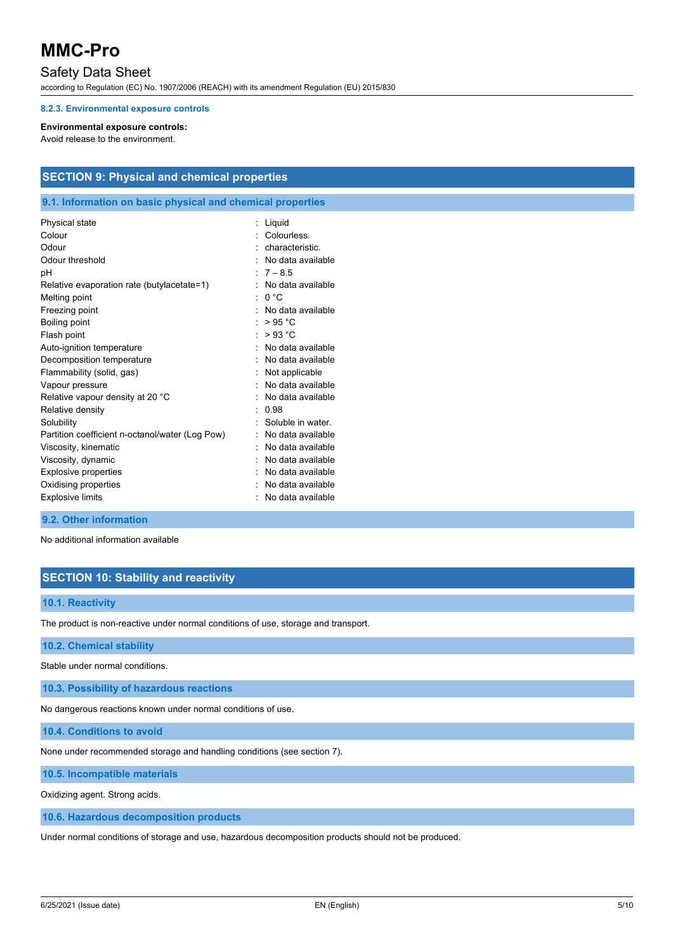### Safety Data Sheet

according to Regulation (EC) No. 1907/2006 (REACH) with its amendment Regulation (EU) 2015/830

#### **8.2.3. Environmental exposure controls**

#### **Environmental exposure controls:**

Avoid release to the environment.

### **SECTION 9: Physical and chemical properties**

#### **9.1. Information on basic physical and chemical properties**

| Physical state                                  | Liquid            |
|-------------------------------------------------|-------------------|
| Colour                                          | Colourless.       |
| Odour                                           | characteristic.   |
| Odour threshold                                 | No data available |
| рH                                              | $7 - 8.5$         |
| Relative evaporation rate (butylacetate=1)      | No data available |
| Melting point                                   | n °C              |
| Freezing point                                  | No data available |
| Boiling point                                   | >95 °C            |
| Flash point                                     | >93 °C            |
| Auto-ignition temperature                       | No data available |
| Decomposition temperature                       | No data available |
| Flammability (solid, gas)                       | Not applicable    |
| Vapour pressure                                 | No data available |
| Relative vapour density at 20 °C                | No data available |
| Relative density                                | 0.98              |
| Solubility                                      | Soluble in water  |
| Partition coefficient n-octanol/water (Log Pow) | No data available |
| Viscosity, kinematic                            | No data available |
| Viscosity, dynamic                              | No data available |
| <b>Explosive properties</b>                     | No data available |
| Oxidising properties                            | No data available |
| <b>Explosive limits</b>                         | No data available |

#### **9.2. Other information**

No additional information available

### **SECTION 10: Stability and reactivity**

#### **10.1. Reactivity**

The product is non-reactive under normal conditions of use, storage and transport.

#### **10.2. Chemical stability**

Stable under normal conditions.

**10.3. Possibility of hazardous reactions**

No dangerous reactions known under normal conditions of use.

**10.4. Conditions to avoid**

None under recommended storage and handling conditions (see section 7).

**10.5. Incompatible materials**

Oxidizing agent. Strong acids.

**10.6. Hazardous decomposition products**

Under normal conditions of storage and use, hazardous decomposition products should not be produced.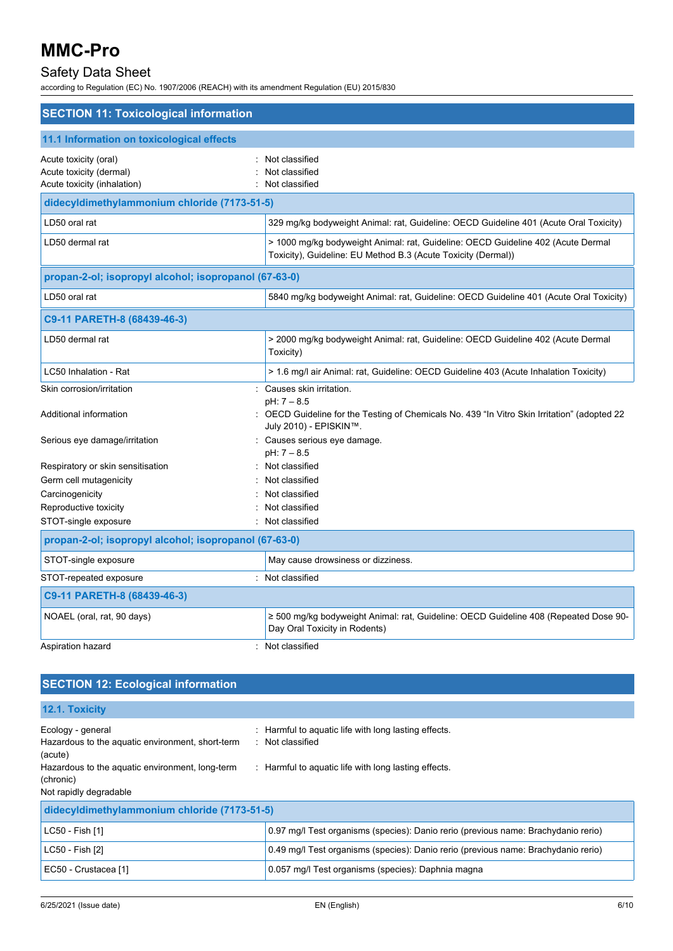## Safety Data Sheet

according to Regulation (EC) No. 1907/2006 (REACH) with its amendment Regulation (EU) 2015/830

| <b>SECTION 11: Toxicological information</b>                                    |                                                                                                                                                   |  |
|---------------------------------------------------------------------------------|---------------------------------------------------------------------------------------------------------------------------------------------------|--|
| 11.1 Information on toxicological effects                                       |                                                                                                                                                   |  |
| Acute toxicity (oral)<br>Acute toxicity (dermal)<br>Acute toxicity (inhalation) | Not classified<br>Not classified<br>Not classified                                                                                                |  |
| didecyldimethylammonium chloride (7173-51-5)                                    |                                                                                                                                                   |  |
| LD50 oral rat                                                                   | 329 mg/kg bodyweight Animal: rat, Guideline: OECD Guideline 401 (Acute Oral Toxicity)                                                             |  |
| LD50 dermal rat                                                                 | > 1000 mg/kg bodyweight Animal: rat, Guideline: OECD Guideline 402 (Acute Dermal<br>Toxicity), Guideline: EU Method B.3 (Acute Toxicity (Dermal)) |  |
| propan-2-ol; isopropyl alcohol; isopropanol (67-63-0)                           |                                                                                                                                                   |  |
| LD50 oral rat                                                                   | 5840 mg/kg bodyweight Animal: rat, Guideline: OECD Guideline 401 (Acute Oral Toxicity)                                                            |  |
| C9-11 PARETH-8 (68439-46-3)                                                     |                                                                                                                                                   |  |
| LD50 dermal rat                                                                 | > 2000 mg/kg bodyweight Animal: rat, Guideline: OECD Guideline 402 (Acute Dermal<br>Toxicity)                                                     |  |
| LC50 Inhalation - Rat                                                           | > 1.6 mg/l air Animal: rat, Guideline: OECD Guideline 403 (Acute Inhalation Toxicity)                                                             |  |
| Skin corrosion/irritation                                                       | Causes skin irritation.                                                                                                                           |  |
| Additional information                                                          | pH: 7 - 8.5<br>OECD Guideline for the Testing of Chemicals No. 439 "In Vitro Skin Irritation" (adopted 22<br>July 2010) - EPISKIN™.               |  |
| Serious eye damage/irritation                                                   | : Causes serious eye damage.<br>pH: 7 - 8.5                                                                                                       |  |
| Respiratory or skin sensitisation                                               | : Not classified                                                                                                                                  |  |
| Germ cell mutagenicity                                                          | Not classified                                                                                                                                    |  |
| Carcinogenicity                                                                 | Not classified                                                                                                                                    |  |
| Reproductive toxicity                                                           | Not classified                                                                                                                                    |  |
| STOT-single exposure                                                            | : Not classified                                                                                                                                  |  |
| propan-2-ol; isopropyl alcohol; isopropanol (67-63-0)                           |                                                                                                                                                   |  |
| STOT-single exposure                                                            | May cause drowsiness or dizziness.                                                                                                                |  |
| STOT-repeated exposure                                                          | Not classified                                                                                                                                    |  |
| C9-11 PARETH-8 (68439-46-3)                                                     |                                                                                                                                                   |  |
| NOAEL (oral, rat, 90 days)                                                      | ≥ 500 mg/kg bodyweight Animal: rat, Guideline: OECD Guideline 408 (Repeated Dose 90-<br>Day Oral Toxicity in Rodents)                             |  |
| Aspiration hazard                                                               | Not classified                                                                                                                                    |  |

## **SECTION 12: Ecological information**

| 12.1. Toxicity                                                                                                       |                                                                                    |
|----------------------------------------------------------------------------------------------------------------------|------------------------------------------------------------------------------------|
| Ecology - general<br>Hazardous to the aquatic environment, short-term<br>(acute)                                     | Harmful to aquatic life with long lasting effects.<br>: Not classified             |
| : Harmful to aquatic life with long lasting effects.<br>Hazardous to the aquatic environment, long-term<br>(chronic) |                                                                                    |
| Not rapidly degradable                                                                                               |                                                                                    |
| didecyldimethylammonium chloride (7173-51-5)                                                                         |                                                                                    |
| LC50 - Fish [1]                                                                                                      | 0.97 mg/l Test organisms (species): Danio rerio (previous name: Brachydanio rerio) |
| LC50 - Fish [2]                                                                                                      | 0.49 mg/l Test organisms (species): Danio rerio (previous name: Brachydanio rerio) |
| EC50 - Crustacea [1]                                                                                                 | 0.057 mg/l Test organisms (species): Daphnia magna                                 |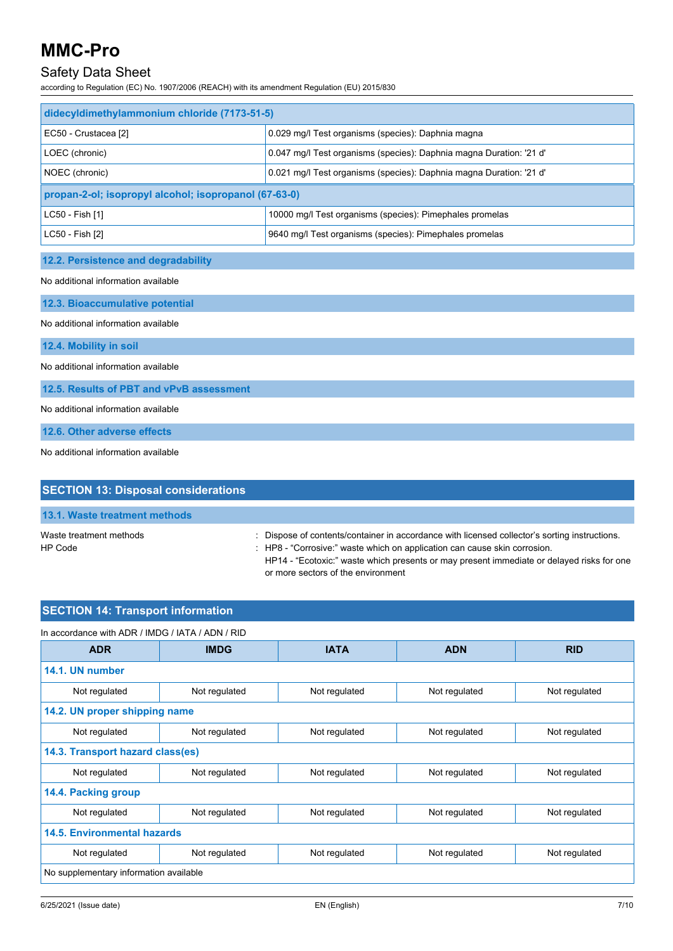## Safety Data Sheet

according to Regulation (EC) No. 1907/2006 (REACH) with its amendment Regulation (EU) 2015/830

| didecyldimethylammonium chloride (7173-51-5)          |                                                                     |  |
|-------------------------------------------------------|---------------------------------------------------------------------|--|
| EC50 - Crustacea [2]                                  | 0.029 mg/l Test organisms (species): Daphnia magna                  |  |
| LOEC (chronic)                                        | 0.047 mg/l Test organisms (species): Daphnia magna Duration: '21 d' |  |
| NOEC (chronic)                                        | 0.021 mg/l Test organisms (species): Daphnia magna Duration: '21 d' |  |
| propan-2-ol; isopropyl alcohol; isopropanol (67-63-0) |                                                                     |  |
| LC50 - Fish [1]                                       | 10000 mg/l Test organisms (species): Pimephales promelas            |  |
| LC50 - Fish [2]                                       | 9640 mg/l Test organisms (species): Pimephales promelas             |  |
|                                                       |                                                                     |  |
| 12.2. Persistence and degradability                   |                                                                     |  |
| No additional information available                   |                                                                     |  |
| 12.3. Bioaccumulative potential                       |                                                                     |  |
| No additional information available                   |                                                                     |  |
| 12.4. Mobility in soil                                |                                                                     |  |
| No additional information available                   |                                                                     |  |
| 12.5. Results of PBT and vPvB assessment              |                                                                     |  |

No additional information available

**12.6. Other adverse effects**

No additional information available

| <b>SECTION 13: Disposal considerations</b> |                                                                                                                                                                                                                                                                                                               |
|--------------------------------------------|---------------------------------------------------------------------------------------------------------------------------------------------------------------------------------------------------------------------------------------------------------------------------------------------------------------|
| 13.1. Waste treatment methods              |                                                                                                                                                                                                                                                                                                               |
| Waste treatment methods<br>HP Code         | : Dispose of contents/container in accordance with licensed collector's sorting instructions.<br>: HP8 - "Corrosive." waste which on application can cause skin corrosion.<br>HP14 - "Ecotoxic:" waste which presents or may present immediate or delayed risks for one<br>or more sectors of the environment |

## **SECTION 14: Transport information**

| In accordance with ADR / IMDG / IATA / ADN / RID |               |               |               |               |
|--------------------------------------------------|---------------|---------------|---------------|---------------|
| <b>ADR</b>                                       | <b>IMDG</b>   | <b>IATA</b>   | <b>ADN</b>    | <b>RID</b>    |
| 14.1. UN number                                  |               |               |               |               |
| Not regulated                                    | Not regulated | Not regulated | Not regulated | Not regulated |
| 14.2. UN proper shipping name                    |               |               |               |               |
| Not regulated                                    | Not regulated | Not regulated | Not regulated | Not regulated |
| 14.3. Transport hazard class(es)                 |               |               |               |               |
| Not regulated                                    | Not regulated | Not regulated | Not regulated | Not regulated |
| 14.4. Packing group                              |               |               |               |               |
| Not regulated                                    | Not regulated | Not regulated | Not regulated | Not regulated |
| 14.5. Environmental hazards                      |               |               |               |               |
| Not regulated                                    | Not regulated | Not regulated | Not regulated | Not regulated |
| No supplementary information available           |               |               |               |               |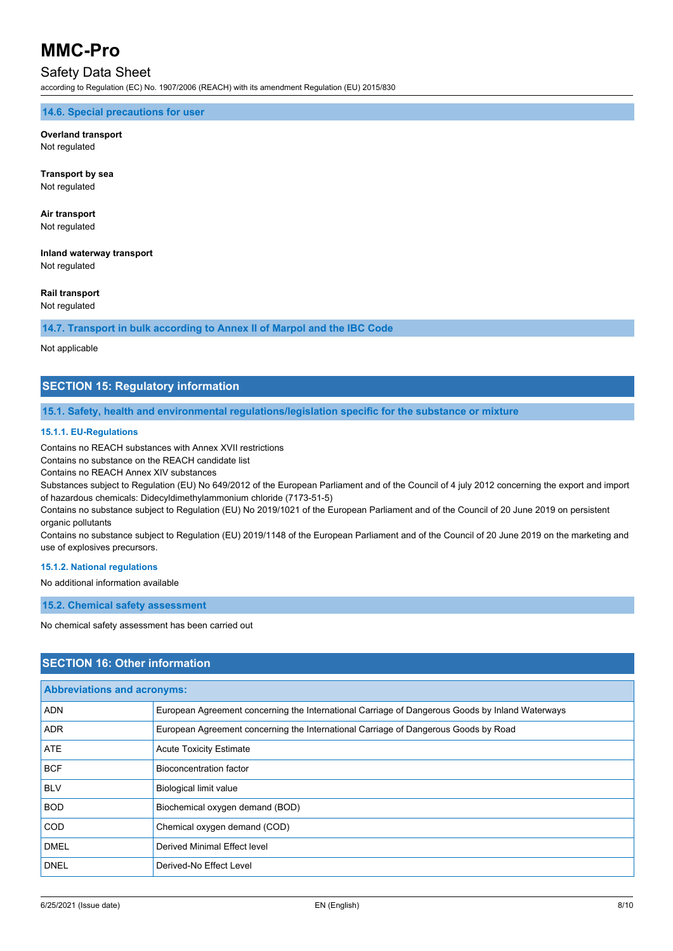### Safety Data Sheet

according to Regulation (EC) No. 1907/2006 (REACH) with its amendment Regulation (EU) 2015/830

#### **14.6. Special precautions for user**

**Overland transport** Not regulated

**Transport by sea** Not regulated

**Air transport** Not regulated

**Inland waterway transport** Not regulated

**Rail transport**

Not regulated

**14.7. Transport in bulk according to Annex II of Marpol and the IBC Code**

Not applicable

#### **SECTION 15: Regulatory information**

**15.1. Safety, health and environmental regulations/legislation specific for the substance or mixture**

#### **15.1.1. EU-Regulations**

Contains no REACH substances with Annex XVII restrictions

Contains no substance on the REACH candidate list

Contains no REACH Annex XIV substances

Substances subject to Regulation (EU) No 649/2012 of the European Parliament and of the Council of 4 july 2012 concerning the export and import of hazardous chemicals: Didecyldimethylammonium chloride (7173-51-5)

Contains no substance subject to Regulation (EU) No 2019/1021 of the European Parliament and of the Council of 20 June 2019 on persistent organic pollutants

Contains no substance subject to Regulation (EU) 2019/1148 of the European Parliament and of the Council of 20 June 2019 on the marketing and use of explosives precursors.

#### **15.1.2. National regulations**

No additional information available

**15.2. Chemical safety assessment**

No chemical safety assessment has been carried out

### **SECTION 16: Other information**

| <b>Abbreviations and acronyms:</b> |                                                                                                 |
|------------------------------------|-------------------------------------------------------------------------------------------------|
| <b>ADN</b>                         | European Agreement concerning the International Carriage of Dangerous Goods by Inland Waterways |
| <b>ADR</b>                         | European Agreement concerning the International Carriage of Dangerous Goods by Road             |
| <b>ATE</b>                         | <b>Acute Toxicity Estimate</b>                                                                  |
| <b>BCF</b>                         | Bioconcentration factor                                                                         |
| <b>BLV</b>                         | Biological limit value                                                                          |
| <b>BOD</b>                         | Biochemical oxygen demand (BOD)                                                                 |
| <b>COD</b>                         | Chemical oxygen demand (COD)                                                                    |
| <b>DMEL</b>                        | Derived Minimal Effect level                                                                    |
| <b>DNEL</b>                        | Derived-No Effect Level                                                                         |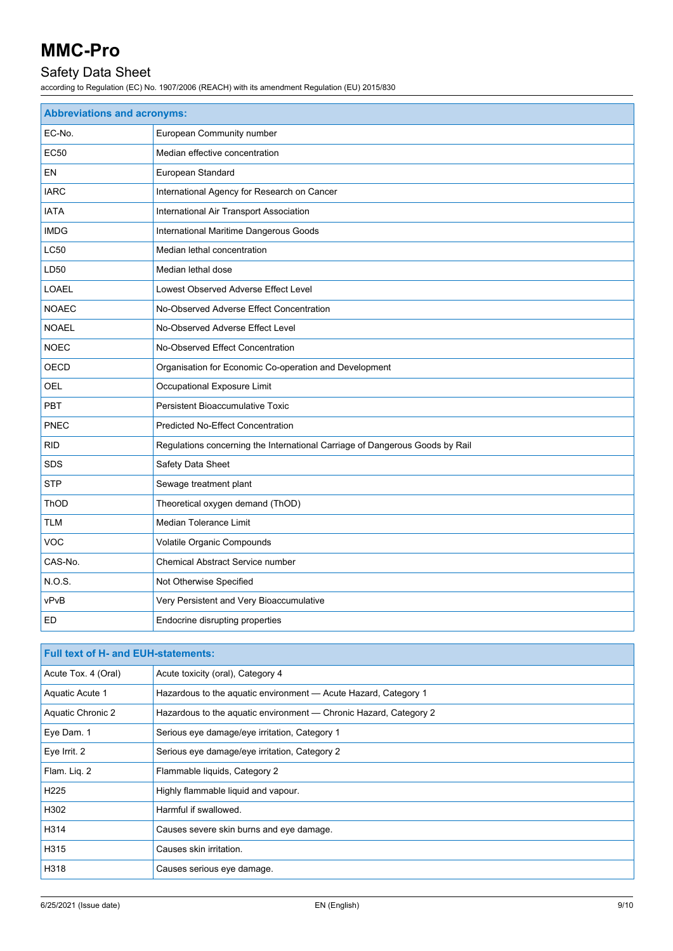## Safety Data Sheet

according to Regulation (EC) No. 1907/2006 (REACH) with its amendment Regulation (EU) 2015/830

| <b>Abbreviations and acronyms:</b> |                                                                              |
|------------------------------------|------------------------------------------------------------------------------|
| EC-No.                             | European Community number                                                    |
| <b>EC50</b>                        | Median effective concentration                                               |
| <b>EN</b>                          | European Standard                                                            |
| <b>IARC</b>                        | International Agency for Research on Cancer                                  |
| <b>IATA</b>                        | International Air Transport Association                                      |
| <b>IMDG</b>                        | International Maritime Dangerous Goods                                       |
| <b>LC50</b>                        | Median lethal concentration                                                  |
| LD50                               | Median lethal dose                                                           |
| LOAEL                              | Lowest Observed Adverse Effect Level                                         |
| <b>NOAEC</b>                       | No-Observed Adverse Effect Concentration                                     |
| <b>NOAEL</b>                       | No-Observed Adverse Effect Level                                             |
| <b>NOEC</b>                        | No-Observed Effect Concentration                                             |
| OECD                               | Organisation for Economic Co-operation and Development                       |
| OEL                                | Occupational Exposure Limit                                                  |
| <b>PBT</b>                         | Persistent Bioaccumulative Toxic                                             |
| <b>PNEC</b>                        | <b>Predicted No-Effect Concentration</b>                                     |
| <b>RID</b>                         | Regulations concerning the International Carriage of Dangerous Goods by Rail |
| <b>SDS</b>                         | Safety Data Sheet                                                            |
| <b>STP</b>                         | Sewage treatment plant                                                       |
| ThOD                               | Theoretical oxygen demand (ThOD)                                             |
| <b>TLM</b>                         | Median Tolerance Limit                                                       |
| <b>VOC</b>                         | Volatile Organic Compounds                                                   |
| CAS-No.                            | <b>Chemical Abstract Service number</b>                                      |
| N.O.S.                             | Not Otherwise Specified                                                      |
| vPvB                               | Very Persistent and Very Bioaccumulative                                     |
| ED                                 | Endocrine disrupting properties                                              |

| <b>Full text of H- and EUH-statements:</b> |                                                                   |
|--------------------------------------------|-------------------------------------------------------------------|
| Acute Tox. 4 (Oral)                        | Acute toxicity (oral), Category 4                                 |
| Aquatic Acute 1                            | Hazardous to the aquatic environment - Acute Hazard, Category 1   |
| Aquatic Chronic 2                          | Hazardous to the aquatic environment — Chronic Hazard, Category 2 |
| Eye Dam. 1                                 | Serious eye damage/eye irritation, Category 1                     |
| Eye Irrit. 2                               | Serious eye damage/eye irritation, Category 2                     |
| Flam. Lig. 2                               | Flammable liquids, Category 2                                     |
| H <sub>225</sub>                           | Highly flammable liquid and vapour.                               |
| H302                                       | Harmful if swallowed.                                             |
| H314                                       | Causes severe skin burns and eye damage.                          |
| H315                                       | Causes skin irritation.                                           |
| H318                                       | Causes serious eye damage.                                        |